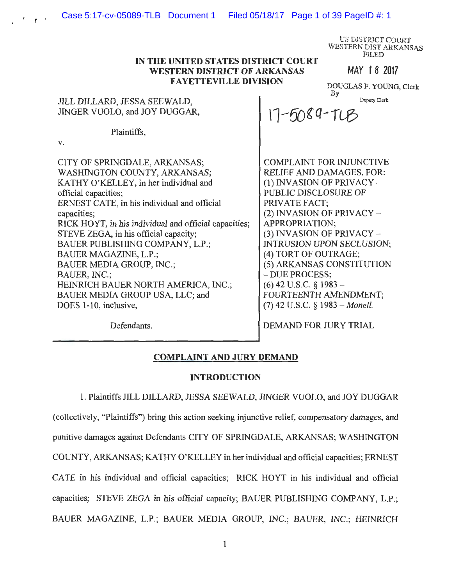US DISTRICT **COURT**  WESTERN DIST ARKANSAS FILED

MAY 1 8 2017

DOUGLAS F. YOUNG, Clerk

#### **IN THE UNITED STATES DISTRICT COURT WESTERN DISTRICT OF ARKANSAS FAYETTEVILLE DIVISION**

JILL DILLARD, JESSA SEEWALD, JINGER VUOLO, and JOY DUGGAR,

Plaintiffs,

V.

*t* •

CITY OF SPRINGDALE, ARKANSAS; WASHINGTON COUNTY, ARKANSAS; KATHY O'KELLEY, in her individual and official capacities; ERNEST CATE, in his individual and official capacities; RICK HOYT, in his individual and official capacities; STEVE ZEGA, in his official capacity; BAUER PUBLISHING COMPANY, L.P.; BAUER MAGAZINE, L.P.; BAUER MEDIA GROUP, INC.; BAUER, INC.; HEINRICH BAUER NORTH AMERICA, INC.; BAUER MEDIA GROUP USA, LLC; and DOES 1-10, inclusive,

Deputy Clerk

By

COMPLAINT FOR INJUNCTIVE RELIEF AND DAMAGES, FOR: (1) INVASION OF PRIVACY - PUBLIC DISCLOSURE OF PRIVATE FACT;  $(2)$  INVASION OF PRIVACY  $-$ APPROPRIATION; (3) INVASION OF PRIVACY -INTRUSION UPON SECLUSION; (4) TORT OF OUTRAGE; (5) ARKANSAS CONSTITUTION - DUE PROCESS;  $(6)$  42 U.S.C. § 1983 – FOURTEENTH AMENDMENT; (7) 42 U.S.C. § 1983 *- Monell.* 

Defendants.

DEMAND FOR JURY TRIAL

# **COMPLAINT AND JURY DEMAND**

## **INTRODUCTION**

1. Plaintiffs JILL DILLARD, JESSA SEEWALD, JIN GER VUOLO, and JOY DUGGAR (collectively, "Plaintiffs") bring this action seeking injunctive relief, compensatory damages, and punitive damages against Defendants CITY OF SPRINGDALE, ARKANSAS; WASHINGTON COUNTY, ARKANSAS; KATHY O'KELLEY in her individual and official capacities; ERNEST CATE in his individual and official capacities; RICK HOYT in his individual and official capacities; STEVE ZEGA in his official capacity; BAUER PUBLISHING COMPANY, L.P.; BAUER MAGAZINE, L.P.; BAUER MEDIA GROUP, INC.; BAUER, INC.; HEINRICH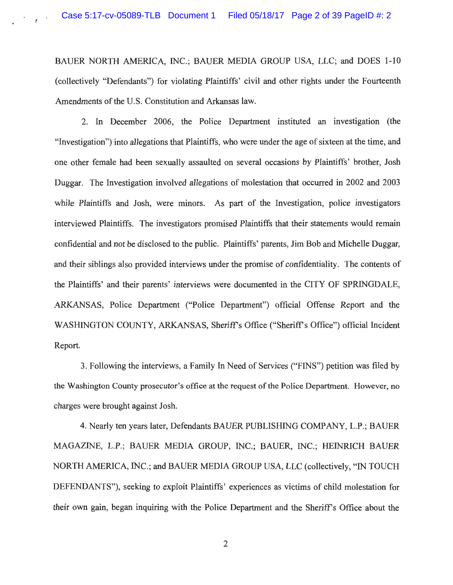BAUER NORTH AMERICA, INC.; BAUER MEDIA GROUP USA, LLC; and DOES 1-10 (collectively "Defendants") for violating Plaintiffs' civil and other rights under the Fourteenth Amendments of the U.S. Constitution and Arkansas law.

2. In December 2006, the Police Department instituted an investigation (the "Investigation") into allegations that Plaintiffs, who were under the age of sixteen at the time, and one other female had been sexually assaulted on several occasions by Plaintiffs' brother, Josh Duggar. The Investigation involved allegations of molestation that occurred in 2002 and 2003 while Plaintiffs and Josh, were minors. As part of the Investigation, police investigators interviewed Plaintiffs. The investigators promised Plaintiffs that their statements would remain confidential and not be disclosed to the public. Plaintiffs' parents, Jim Bob and Michelle Duggar, and their siblings also provided interviews under the promise of confidentiality. The contents of the Plaintiffs' and their parents' interviews were documented in the CITY OF SPRINGDALE, ARKANSAS, Police Department ("Police Department") official Offense Report and the WASHINGTON COUNTY, ARKANSAS, Sheriff's Office ("Sheriff's Office") official Incident Report.

3. Following the interviews, a Family In Need of Services ("FINS") petition was filed by the Washington County prosecutor's office at the request of the Police Department. However, no charges were brought against Josh.

4. Nearly ten years later, Defendants BAUER PUBLISHING COMPANY, L.P.; BAUER MAGAZINE, L.P.; BAUER MEDIA GROUP, INC.; BAUER, INC.; HEINRICH BAUER NORTH AMERICA, INC.; and BAUER MEDIA GROUP USA, LLC (collectively, "IN TOUCH DEFENDANTS"), seeking to exploit Plaintiffs' experiences as victims of child molestation for their own gain, began inquiring with the Police Department and the Sheriff's Office about the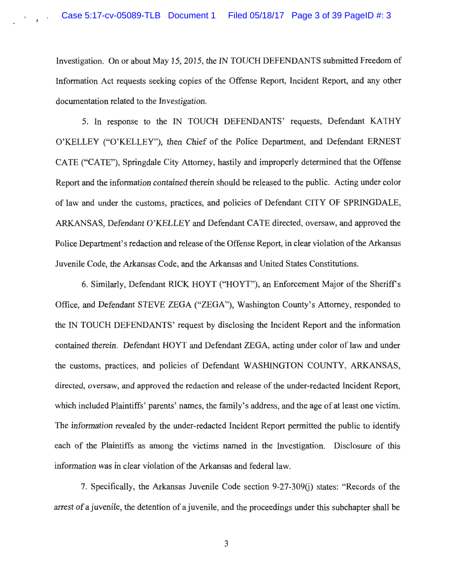Investigation. On or about May 15, 2015, the IN TOUCH DEFENDANTS submitted Freedom of Information Act requests seeking copies of the Offense Report, Incident Report, and any other documentation related to the Investigation.

5. In response to the IN TOUCH DEFENDANTS' requests, Defendant KATHY O'KELLEY ("O'KELLEY"), then Chief of the Police Department, and Defendant ERNEST CATE ("CATE"), Springdale City Attorney, hastily and improperly determined that the Offense Report and the information contained therein should be released to the public. Acting under color of law and under the customs, practices, and policies of Defendant CITY OF SPRINGDALE, ARKANSAS, Defendant O'KELLEY and Defendant CATE directed, oversaw, and approved the Police Department's redaction and release of the Offense Report, in clear violation of the Arkansas Juvenile Code, the Arkansas Code, and the Arkansas and United States Constitutions.

6. Similarly, Defendant RICK HOYT ("HOYT"), an Enforcement Major of the Sheriffs Office, and Defendant STEVE ZEGA ("ZEGA"), Washington County's Attorney, responded to the IN TOUCH DEFENDANTS' request by disclosing the Incident Report and the information contained therein. Defendant HOYT and Defendant ZEGA, acting under color of law and under the customs, practices, and policies of Defendant WASHINGTON COUNTY, ARKANSAS, directed, oversaw, and approved the redaction and release of the under-redacted Incident Report, which included Plaintiffs' parents' names, the family's address, and the age of at least one victim. The information revealed by the under-redacted Incident Report permitted the public to identify each of the Plaintiffs as among the victims named in the Investigation. Disclosure of this information was in clear violation of the Arkansas and federal law.

7. Specifically, the Arkansas Juvenile Code section  $9-27-309(i)$  states: "Records of the arrest of a juvenile, the detention of a juvenile, and the proceedings under this subchapter shall be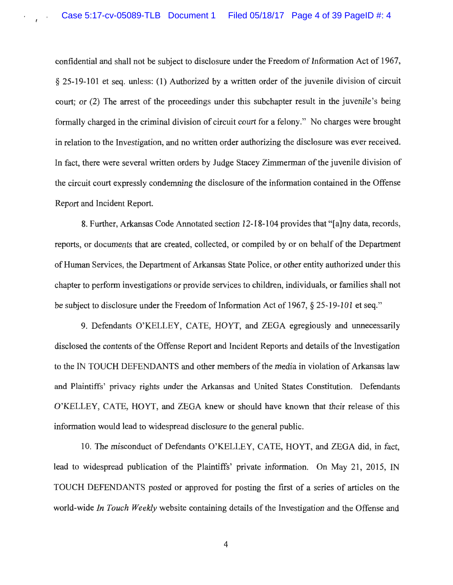confidential and shall not be subject to disclosure under the Freedom of Information Act of 1967, § 25-19-101 et seq. unless: (1) Authorized by a written order of the juvenile division of circuit court; or (2) The arrest of the proceedings under this subchapter result in the juvenile's being formally charged in the criminal division of circuit court for a felony." No charges were brought in relation to the Investigation, and no written order authorizing the disclosure was ever received. In fact, there were several written orders by Judge Stacey Zimmerman of the juvenile division of the circuit court expressly condemning the disclosure of the information contained in the Offense Report and Incident Report.

8. Further, Arkansas Code Annotated section 12-18-104 provides that "[a]ny data, records, reports, or documents that are created, collected, or compiled by or on behalf of the Department of Human Services, the Department of Arkansas State Police, or other entity authorized under this chapter to perform investigations or provide services to children, individuals, or families shall not be subject to disclosure under the Freedom of Information Act of 1967, § 25-19-101 et seq."

9. Defendants O'KELLEY, CATE, HOYT, and ZEGA egregiously and unnecessarily disclosed the contents of the Offense Report and Incident Reports and details of the Investigation to the IN TOUCH DEFENDANTS and other members of the media in violation of Arkansas law and Plaintiffs' privacy rights under the Arkansas and United States Constitution. Defendants O'KELLEY, CATE, HOYT, and ZEGA knew or should have known that their release of this information would lead to widespread disclosure to the general public.

10. The misconduct of Defendants O'KELLEY, CATE, HOYT, and ZEGA did, in fact, lead to widespread publication of the Plaintiffs' private information. On May 21, 2015, IN TOUCH DEFENDANTS posted or approved for posting the first of a series of articles on the world-wide *In Touch Weekly* website containing details of the Investigation and the Offense and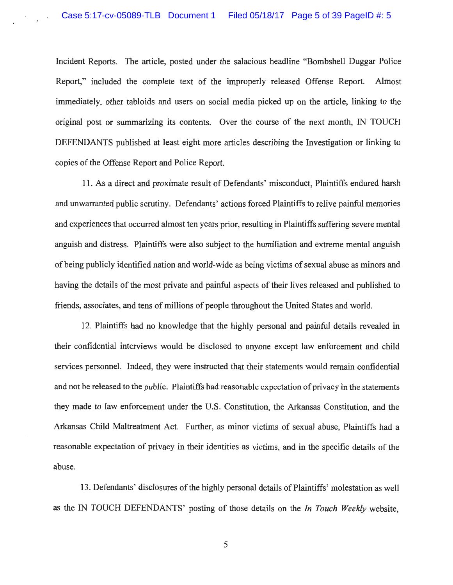Incident Reports. The article, posted under the salacious headline "Bombshell Duggar Police Report," included the complete text of the improperly released Offense Report. Almost immediately, other tabloids and users on social media picked up on the article, linking to the original post or summarizing its contents. Over the course of the next month, IN TOUCH DEFENDANTS published at least eight more articles describing the Investigation or linking to copies of the Offense Report and Police Report.

11. As a direct and proximate result of Defendants' misconduct, Plaintiffs endured harsh and unwarranted public scrutiny. Defendants' actions forced Plaintiffs to relive painful memories and experiences that occurred almost ten years prior, resulting in Plaintiffs suffering severe mental anguish and distress. Plaintiffs were also subject to the humiliation and extreme mental anguish of being publicly identified nation and world-wide as being victims of sexual abuse as minors and having the details of the most private and painful aspects of their lives released and published to friends, associates, and tens of millions of people throughout the United States and world.

12. Plaintiffs had no knowledge that the highly personal and painful details revealed in their confidential interviews would be disclosed to anyone except law enforcement and child services personnel. Indeed, they were instructed that their statements would remain confidential and not be released to the public. Plaintiffs had reasonable expectation of privacy in the statements they made to law enforcement under the U.S. Constitution, the Arkansas Constitution, and the Arkansas Child Maltreatment Act. Further, as minor victims of sexual abuse, Plaintiffs had a reasonable expectation of privacy in their identities as victims, and in the specific details of the abuse.

13. Defendants' disclosures of the highly personal details of Plaintiffs' molestation as well as the IN TOUCH DEFENDANTS' posting of those details on the *In Touch Weekly* website,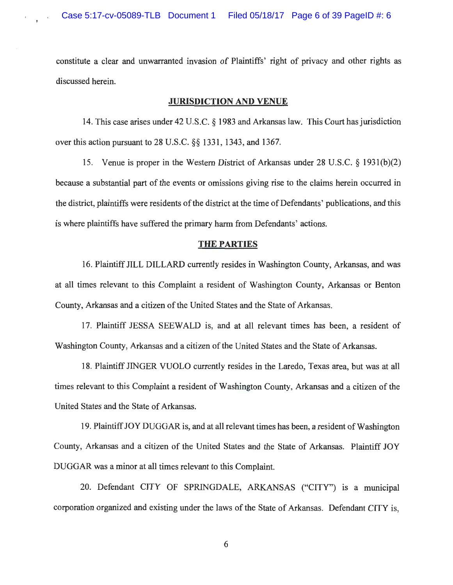constitute a clear and unwarranted invasion of Plaintiffs' right of privacy and other rights as discussed herein.

#### **JURISDICTION AND VENUE**

14. This case arises under 42 U.S.C. § 1983 and Arkansas law. This Court has jurisdiction over this action pursuant to 28 U.S.C. §§ 1331, 1343, and 1367.

15. Venue is proper in the Western District of Arkansas under 28 U.S.C. § 193 l(b)(2) because a substantial part of the events or omissions giving rise to the claims herein occurred in the district, plaintiffs were residents of the district at the time of Defendants' publications, and this is where plaintiffs have suffered the primary harm from Defendants' actions.

#### **THE PARTIES**

16. Plaintiff JILL DILLARD currently resides in Washington County, Arkansas, and was at all times relevant to this Complaint a resident of Washington County, Arkansas or Benton County, Arkansas and a citizen of the United States and the State of Arkansas.

17. Plaintiff JESSA SEEWALD is, and at all relevant times has been, a resident of Washington County, Arkansas and a citizen of the United States and the State of Arkansas.

18. Plaintiff JINGER VUOLO currently resides in the Laredo, Texas area, but was at all times relevant to this Complaint a resident of Washington County, Arkansas and a citizen of the United States and the State of Arkansas.

19. Plaintiff JOY DUGGAR is, and at all relevant times has been, a resident of Washington County, Arkansas and a citizen of the United States and the State of Arkansas. Plaintiff JOY DUGGAR was a minor at all times relevant to this Complaint.

20. Defendant CITY OF SPRINGDALE, ARKANSAS ("CITY") is a municipal corporation organized and existing under the laws of the State of Arkansas. Defendant CITY is,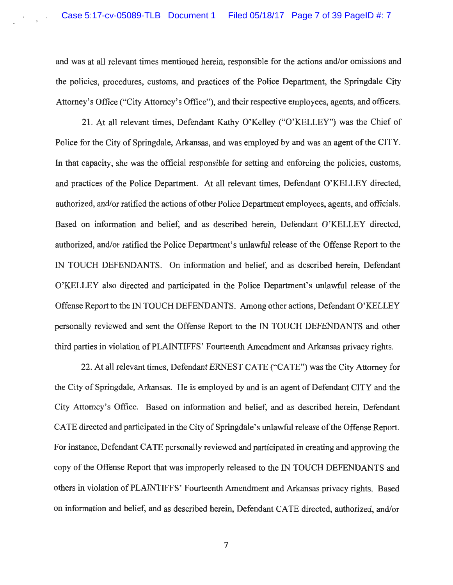and was at all relevant times mentioned herein, responsible for the actions and/or omissions and the policies, procedures, customs, and practices of the Police Department, the Springdale City Attorney's Office ("City Attorney's Office"), and their respective employees, agents, and officers.

21. At all relevant times, Defendant Kathy O'Kelley ("O'KELLEY") was the Chief of Police for the City of Springdale, Arkansas, and was employed by and was an agent of the CITY. In that capacity, she was the official responsible for setting and enforcing the policies, customs, and practices of the Police Department. At all relevant times, Defendant O'KELLEY directed, authorized, and/or ratified the actions of other Police Department employees, agents, and officials. Based on information and belief, and as described herein, Defendant O'KELLEY directed, authorized, and/or ratified the Police Department's unlawful release of the Offense Report to the IN TOUCH DEFENDANTS. On information and belief, and as described herein, Defendant O'KELLEY also directed and participated in the Police Department's unlawful release of the Offense Report to the IN TOUCH DEFENDANTS. Among other actions, Defendant O'KELLEY personally reviewed and sent the Offense Report to the IN TOUCH DEFENDANTS and other third parties in violation of PLAINTIFFS' Fourteenth Amendment and Arkansas privacy rights.

22. At all relevant times, Defendant ERNEST CATE ("CATE") was the City Attorney for the City of Springdale, Arkansas. He is employed by and is an agent of Defendant CITY and the City Attorney's Office. Based on information and belief, and as described herein, Defendant CA TE directed and participated in the City of Springdale' s unlawful release of the Offense Report. For instance, Defendant CATE personally reviewed and participated in creating and approving the copy of the Offense Report that was improperly released to the IN TOUCH DEFENDANTS and others in violation of PLAINTIFFS' Fourteenth Amendment and Arkansas privacy rights. Based on information and belief, and as described herein, Defendant CATE directed, authorized, and/or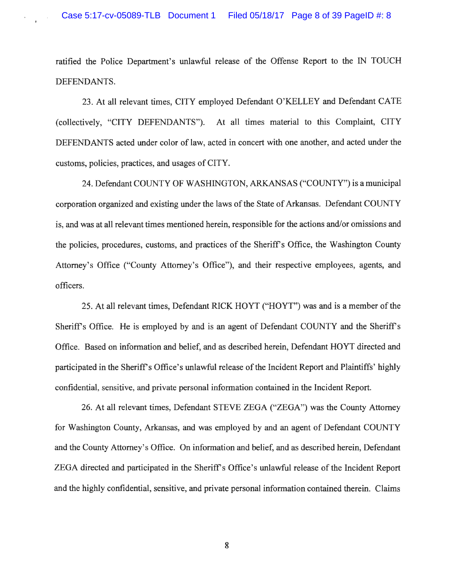ratified the Police Department's unlawful release of the Offense Report to the IN TOUCH DEFENDANTS.

23 . At all relevant times, CITY employed Defendant O'KELLEY and Defendant CATE (collectively, "CITY DEFENDANTS"). At all times material to this Complaint, CITY DEFENDANTS acted under color of law, acted in concert with one another, and acted under the customs, policies, practices, and usages of CITY.

24. Defendant COUNTY OF WASHINGTON, ARKANSAS ("COUNTY") is a municipal corporation organized and existing under the laws of the State of Arkansas. Defendant COUNTY is, and was at all relevant times mentioned herein, responsible for the actions and/or omissions and the policies, procedures, customs, and practices of the Sheriff's Office, the Washington County Attorney's Office ("County Attorney's Office"), and their respective employees, agents, and officers.

25. At all relevant times, Defendant RICK HOYT ("HOYT") was and is a member of the Sheriff's Office. He is employed by and is an agent of Defendant COUNTY and the Sheriff's Office. Based on information and belief, and as described herein, Defendant HOYT directed and participated in the Sheriff's Office's unlawful release of the Incident Report and Plaintiffs' highly confidential, sensitive, and private personal information contained in the Incident Report.

26. At all relevant times, Defendant STEVE ZEGA ("ZEGA") was the County Attorney for Washington County, Arkansas, and was employed by and an agent of Defendant COUNTY and the County Attorney's Office. On information and belief, and as described herein, Defendant ZEGA directed and participated in the Sheriff's Office's unlawful release of the Incident Report and the highly confidential, sensitive, and private personal information contained therein. Claims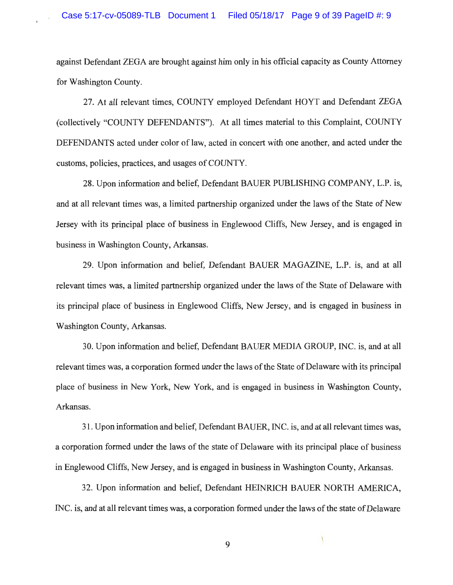against Defendant ZEGA are brought against him only in his official capacity as County Attorney for Washington County.

27. At all relevant times, COUNTY employed Defendant HOYT and Defendant ZEGA (collectively "COUNTY DEFENDANTS"). At all times material to this Complaint, COUNTY DEFENDANTS acted under color of law, acted in concert with one another, and acted under the customs, policies, practices, and usages of COUNTY.

28. Upon information and belief, Defendant BAUER PUBLISHING COMPANY, L.P. is, and at all relevant times was, a limited partnership organized under the laws of the State of New Jersey with its principal place of business in Englewood Cliffs, New Jersey, and is engaged in business in Washington County, Arkansas.

29. Upon information and belief, Defendant BAUER MAGAZINE, L.P. is, and at all relevant times was, a limited partnership organized under the laws of the State of Delaware with its principal place of business in Englewood Cliffs, New Jersey, and is engaged in business in Washington County, Arkansas.

30. Upon information and belief, Defendant BAUER MEDIA GROUP, INC. is, and at all relevant times was, a corporation formed under the laws of the State of Delaware with its principal place of business in New York, New York, and is engaged in business in Washington County, Arkansas.

31. Upon information and belief, Defendant BAUER, INC. is, and at all relevant times was, a corporation formed under the laws of the state of Delaware with its principal place of business in Englewood Cliffs, New Jersey, and is engaged in business in Washington County, Arkansas.

32. Upon information and belief, Defendant HEINRICH BAUER NORTH AMERICA, INC. is, and at all relevant times was, a corporation formed under the laws of the state of Delaware

9

 $\mathcal{L}$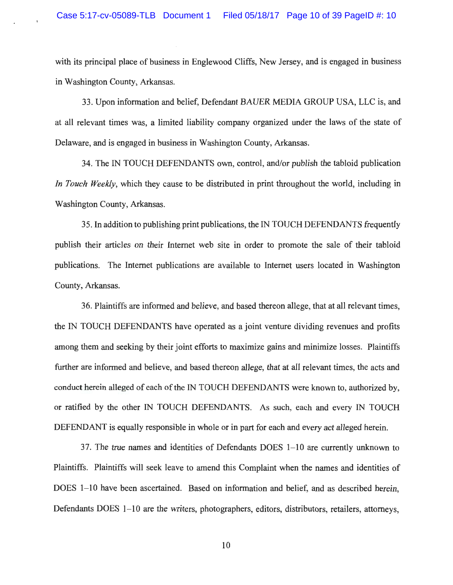with its principal place of business in Englewood Cliffs, New Jersey, and is engaged in business in Washington County, Arkansas.

33. Upon information and belief, Defendant BAUER MEDIA GROUP USA, LLC is, and at all relevant times was, a limited liability company organized under the laws of the state of Delaware, and is engaged in business in Washington County, Arkansas.

34. The IN TOUCH DEFENDANTS own, control, and/or publish the tabloid publication *In Touch Weekly,* which they cause to be distributed in print throughout the world, including in Washington County, Arkansas.

35. In addition to publishing print publications, the IN TOUCH DEFENDANTS frequently publish their articles on their Internet web site in order to promote the sale of their tabloid publications. The Internet publications are available to Internet users located in Washington County, Arkansas.

36. Plaintiffs are informed and believe, and based thereon allege, that at all relevant times, the IN TOUCH DEFENDANTS have operated as a joint venture dividing revenues and profits among them and seeking by their joint efforts to maximize gains and minimize losses. Plaintiffs further are informed and believe, and based thereon allege, that at all relevant times, the acts and conduct herein alleged of each of the IN TOUCH DEFENDANTS were known to, authorized by, or ratified by the other IN TOUCH DEFENDANTS. As such, each and every IN TOUCH DEFENDANT is equally responsible in whole or in part for each and every act alleged herein.

37. The true names and identities of Defendants DOES 1-10 are currently unknown to Plaintiffs. Plaintiffs will seek leave to amend this Complaint when the names and identities of DOES 1-10 have been ascertained. Based on information and belief, and as described herein, Defendants DOES 1-10 are the writers, photographers, editors, distributors, retailers, attorneys,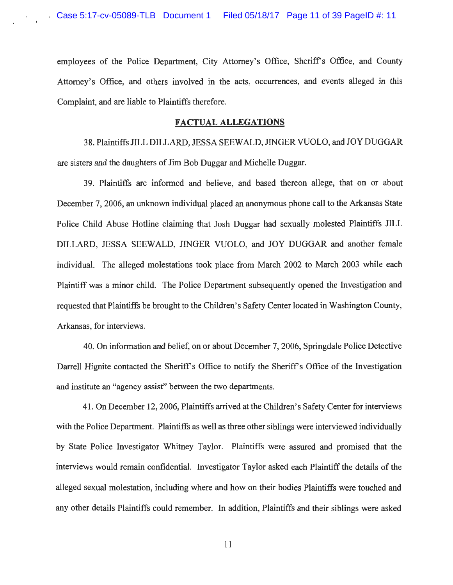employees of the Police Department, City Attorney's Office, Sheriff's Office, and County Attorney's Office, and others involved in the acts, occurrences, and events alleged in this Complaint, and are liable to Plaintiffs therefore.

#### **FACTUAL ALLEGATIONS**

38. Plaintiffs JILL DILLARD, JESSA SEEWALD, JIN GER VUOLO, and JOY DUGGAR are sisters and the daughters of Jim Bob Duggar and Michelle Duggar.

39. Plaintiffs are informed and believe, and based thereon allege, that on or about December 7, 2006, an unknown individual placed an anonymous phone call to the Arkansas State Police Child Abuse Hotline claiming that Josh Duggar had sexually molested Plaintiffs JILL DILLARD, JESSA SEEWALD, JINGER VUOLO, and JOY DUGGAR and another female individual. The alleged molestations took place from March 2002 to March 2003 while each Plaintiff was a minor child. The Police Department subsequently opened the Investigation and requested that Plaintiffs be brought to the Children's Safety Center located in Washington County, Arkansas, for interviews.

40. On information and belief, on or about December 7, 2006, Springdale Police Detective Darrell Hignite contacted the Sheriff's Office to notify the Sheriff's Office of the Investigation and institute an "agency assist" between the two departments.

41. On December 12, 2006, Plaintiffs arrived at the Children's Safety Center for interviews with the Police Department. Plaintiffs as well as three other siblings were interviewed individually by State Police Investigator Whitney Taylor. Plaintiffs were assured and promised that the interviews would remain confidential. Investigator Taylor asked each Plaintiff the details of the alleged sexual molestation, including where and how on their bodies Plaintiffs were touched and any other details Plaintiffs could remember. In addition, Plaintiffs and their siblings were asked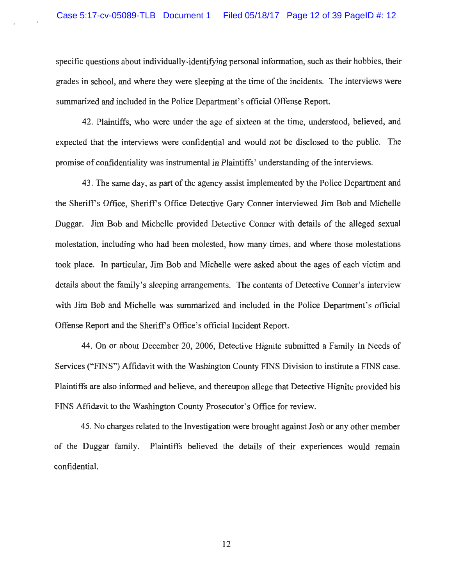specific questions about individually-identifying personal information, such as their hobbies, their grades in school, and where they were sleeping at the time of the incidents. The interviews were summarized and included in the Police Department's official Offense Report.

42. Plaintiffs, who were under the age of sixteen at the time, understood, believed, and expected that the interviews were confidential and would not be disclosed to the public. The promise of confidentiality was instrumental in Plaintiffs' understanding of the interviews.

43. The same day, as part of the agency assist implemented by the Police Department and the Sheriff's Office, Sheriff's Office Detective Gary Conner interviewed Jim Bob and Michelle Duggar. Jim Bob and Michelle provided Detective Conner with details of the alleged sexual molestation, including who had been molested, how many times, and where those molestations took place. In particular, Jim Bob and Michelle were asked about the ages of each victim and details about the family's sleeping arrangements. The contents of Detective Conner's interview with Jim Bob and Michelle was summarized and included in the Police Department's official Offense Report and the Sheriff's Office's official Incident Report.

44. On or about December 20, 2006, Detective Hignite submitted a Family In Needs of Services ("FINS") Affidavit with the Washington County FINS Division to institute a FINS case. Plaintiffs are also informed and believe, and thereupon allege that Detective Hignite provided his FINS Affidavit to the Washington County Prosecutor's Office for review.

45. No charges related to the Investigation were brought against Josh or any other member of the Duggar family. Plaintiffs believed the details of their experiences would remain confidential.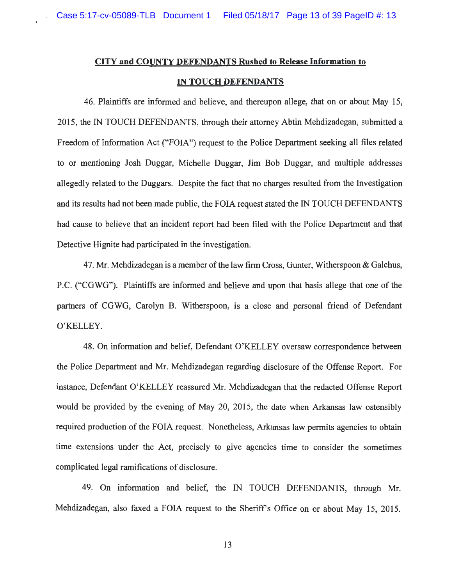# **CITY and COUNTY DEFENDANTS Rushed to Release Information to IN TOUCH DEFENDANTS**

46. Plaintiffs are informed and believe, and thereupon allege, that on or about May 15, 2015, the IN TOUCH DEFENDANTS, through their attorney Abtin Mehdizadegan, submitted a Freedom of Information Act ("FOIA") request to the Police Department seeking all files related to or mentioning Josh Duggar, Michelle Duggar, Jim Bob Duggar, and multiple addresses allegedly related to the Duggars. Despite the fact that no charges resulted from the Investigation and its results had not been made public, the FOIA request stated the IN TOUCH DEFENDANTS had cause to believe that an incident report had been filed with the Police Department and that Detective Hignite had participated in the investigation.

47. Mr. Mehdizadegan is a member of the law firm Cross, Gunter, Witherspoon & Galchus, P.C. ("CGWG"). Plaintiffs are informed and believe and upon that basis allege that one of the partners of CGWG, Carolyn B. Witherspoon, is a close and personal friend of Defendant O'KELLEY.

48. On information and belief, Defendant O'KELLEY oversaw correspondence between the Police Department and Mr. Mehdizadegan regarding disclosure of the Offense Report. For instance, Defendant O'KELLEY reassured Mr. Mehdizadegan that the redacted Offense Report would be provided by the evening of May 20, 2015, the date when Arkansas law ostensibly required production of the FOIA request. Nonetheless, Arkansas law permits agencies to obtain time extensions under the Act, precisely to give agencies time to consider the sometimes complicated legal ramifications of disclosure.

49. On information and belief, the IN TOUCH DEFENDANTS, through Mr. Mehdizadegan, also faxed a FOIA request to the Sheriff's Office on or about May 15, 2015.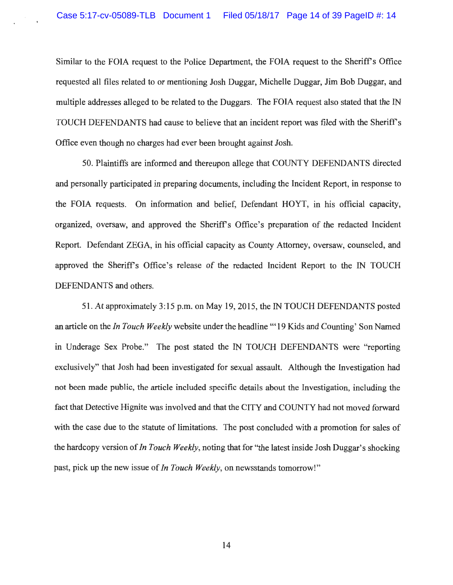Similar to the FOIA request to the Police Department, the FOIA request to the Sheriff's Office requested all files related to or mentioning Josh Duggar, Michelle Duggar, Jim Bob Duggar, and multiple addresses alleged to be related to the Duggars. The FOIA request also stated that the IN TOUCH DEFENDANTS had cause to believe that an incident report was filed with the Sheriffs Office even though no charges had ever been brought against Josh.

50. Plaintiffs are informed and thereupon allege that COUNTY DEFENDANTS directed and personally participated in preparing documents, including the Incident Report, in response to the FOIA requests. On information and belief, Defendant HOYT, in his official capacity, organized, oversaw, and approved the Sheriffs Office's preparation of the redacted Incident Report. Defendant ZEGA, in his official capacity as County Attorney, oversaw, counseled, and approved the Sheriff's Office's release of the redacted Incident Report to the IN TOUCH DEFENDANTS and others.

51. At approximately 3:15 p.m. on May 19, 2015, the IN TOUCH DEFENDANTS posted an article on the *In Touch Weekly* website under the headline'" 19 Kids and Counting' Son Named in Underage Sex Probe." The post stated the IN TOUCH DEFENDANTS were "reporting exclusively" that Josh had been investigated for sexual assault. Although the Investigation had not been made public, the article included specific details about the Investigation, including the fact that Detective Hignite was involved and that the CITY and COUNTY had not moved forward with the case due to the statute of limitations. The post concluded with a promotion for sales of the hardcopy version of *In Touch Weekly,* noting that for "the latest inside Josh Duggar's shocking past, pick up the new issue of *In Touch Weekly,* on newsstands tomorrow!"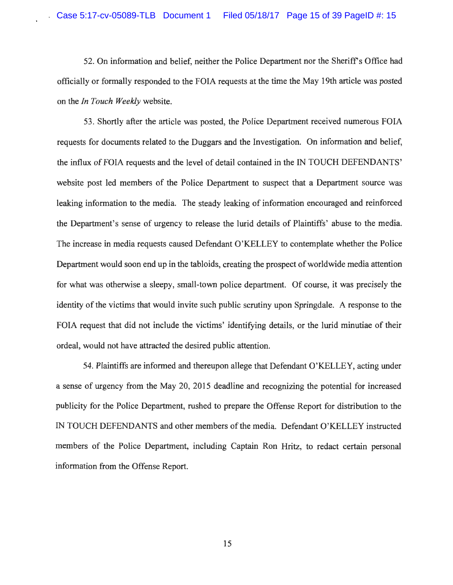52. On information and belief, neither the Police Department nor the Sheriff's Office had officially or formally responded to the FOIA requests at the time the May 19th article was posted on the *In Touch Weekly* website.

53. Shortly after the article was posted, the Police Department received numerous FOIA requests for documents related to the Duggars and the Investigation. On information and belief, the influx of FOIA requests and the level of detail contained in the IN TOUCH DEFENDANTS' website post led members of the Police Department to suspect that a Department source was leaking information to the media. The steady leaking of information encouraged and reinforced the Department's sense of urgency to release the lurid details of Plaintiffs' abuse to the media. The increase in media requests caused Defendant O'KELLEY to contemplate whether the Police Department would soon end up in the tabloids, creating the prospect of worldwide media attention for what was otherwise a sleepy, small-town police department. Of course, it was precisely the identity of the victims that would invite such public scrutiny upon Springdale. A response to the FOIA request that did not include the victims' identifying details, or the lurid minutiae of their ordeal, would not have attracted the desired public attention.

54. Plaintiffs are informed and thereupon allege that Defendant O'KELLEY, acting under a sense of urgency from the May 20, 2015 deadline and recognizing the potential for increased publicity for the Police Department, rushed to prepare the Offense Report for distribution to the IN TOUCH DEFENDANTS and other members of the media. Defendant O'KELLEY instructed members of the Police Department, including Captain Ron Hritz, to redact certain personal information from the Offense Report.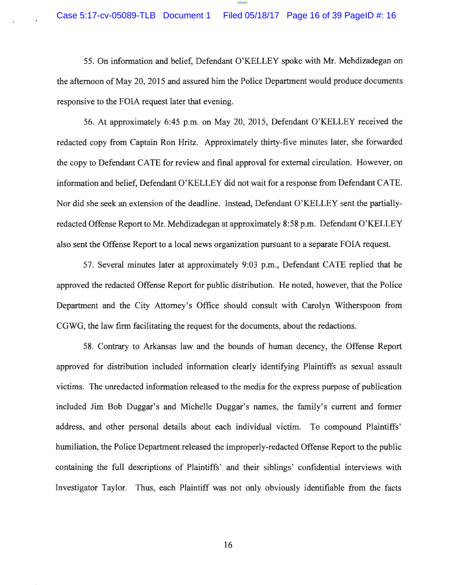55. On information and belief, Defendant O'KELLEY spoke with Mr. Mehdizadegan on the afternoon of May 20, 2015 and assured him the Police Department would produce documents responsive to the FOIA request later that evening.

56. At approximately 6:45 p.m. on May 20, 2015, Defendant O'KELLEY received the redacted copy from Captain Ron Hritz. Approximately thirty-five minutes later, she forwarded the copy to Defendant CATE for review and final approval for external circulation. However, on information and belief, Defendant O'KELLEY did not wait for a response from Defendant CATE. Nor did she seek an extension of the deadline. Instead, Defendant O'KELLEY sent the partiallyredacted Offense Report to Mr. Mehdizadegan at approximately 8:58 p.m. Defendant O'KELLEY also sent the Offense Report to a local news organization pursuant to a separate FOIA request.

57. Several minutes later at approximately 9:03 p.m., Defendant CATE replied that he approved the redacted Offense Report for public distribution. He noted, however, that the Police Department and the City Attorney's Office should consult with Carolyn Witherspoon from CGWG, the law firm facilitating the request for the documents, about the redactions.

58. Contrary to Arkansas law and the bounds of human decency, the Offense Report approved for distribution included information clearly identifying Plaintiffs as sexual assault victims. The unredacted information released to the media for the express purpose of publication included Jim Bob Duggar's and Michelle Duggar's names, the family's current and former address, and other personal details about each individual victim. To compound Plaintiffs' humiliation, the Police Department released the improperly-redacted Offense Report to the public containing the full descriptions of Plaintiffs' and their siblings' confidential interviews with Investigator Taylor. Thus, each Plaintiff was not only obviously identifiable from the facts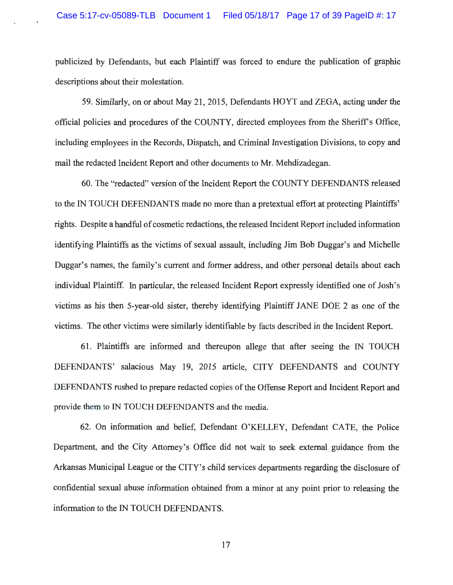publicized by Defendants, but each Plaintiff was forced to endure the publication of graphic descriptions about their molestation.

59. Similarly, on or about May 21 , 2015, Defendants HOYT and ZEGA, acting under the official policies and procedures of the COUNTY, directed employees from the Sheriff's Office, including employees in the Records, Dispatch, and Criminal Investigation Divisions, to copy and mail the redacted Incident Report and other documents to Mr. Mehdizadegan.

60. The "redacted" version of the Incident Report the COUNTY DEFENDANTS released to the IN TOUCH DEFENDANTS made no more than a pretextual effort at protecting Plaintiffs' rights. Despite a handful of cosmetic redactions, the released Incident Report included information identifying Plaintiffs as the victims of sexual assault, including Jim Bob Duggar's and Michelle Duggar's names, the family's current and former address, and other personal details about each individual Plaintiff. In particular, the released Incident Report expressly identified one of Josh's victims as his then 5-year-old sister, thereby identifying Plaintiff JANE DOE 2 as one of the victims. The other victims were similarly identifiable by facts described in the Incident Report.

61. Plaintiffs are informed and thereupon allege that after seeing the IN TOUCH DEFENDANTS' salacious May 19, 2015 article, CITY DEFENDANTS and COUNTY DEFENDANTS rushed to prepare redacted copies of the Offense Report and Incident Report and provide them to IN TOUCH DEFENDANTS and the media.

62. On information and belief, Defendant O'KELLEY, Defendant CATE, the Police Department, and the City Attorney's Office did not wait to seek external guidance from the Arkansas Municipal League or the CITY's child services departments regarding the disclosure of confidential sexual abuse information obtained from a minor at any point prior to releasing the information to the IN TOUCH DEFENDANTS.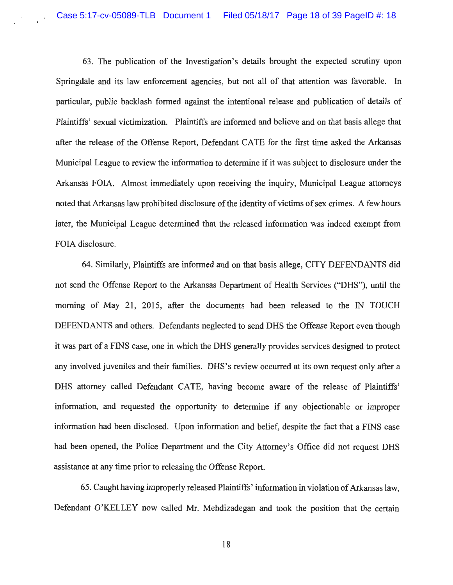63. The publication of the Investigation's details brought the expected scrutiny upon Springdale and its law enforcement agencies, but not all of that attention was favorable. In particular, public backlash formed against the intentional release and publication of details of Plaintiffs' sexual victimization. Plaintiffs are informed and believe and on that basis allege that after the release of the Offense Report, Defendant CATE for the first time asked the Arkansas Municipal League to review the information to determine if it was subject to disclosure under the Arkansas FOIA. Almost immediately upon receiving the inquiry, Municipal League attorneys noted that Arkansas law prohibited disclosure of the identity of victims of sex crimes. A few hours later, the Municipal League determined that the released information was indeed exempt from FOIA disclosure.

64. Similarly, Plaintiffs are informed and on that basis allege, CITY DEFENDANTS did not send the Offense Report to the Arkansas Department of Health Services ("DHS"), until the morning of May 21, 2015, after the documents had been released to the IN TOUCH DEFENDANTS and others. Defendants neglected to send DHS the Offense Report even though it was part of a FINS case, one in which the DHS generally provides services designed to protect any involved juveniles and their families. DHS's review occurred at its own request only after a DHS attorney called Defendant CATE, having become aware of the release of Plaintiffs' information, and requested the opportunity to determine if any objectionable or improper information had been disclosed. Upon information and belief, despite the fact that a FINS case had been opened, the Police Department and the City Attorney's Office did not request DHS assistance at any time prior to releasing the Offense Report.

65. Caught having improperly released Plaintiffs' information in violation of Arkansas law, Defendant O'KELLEY now called Mr. Mehdizadegan and took the position that the certain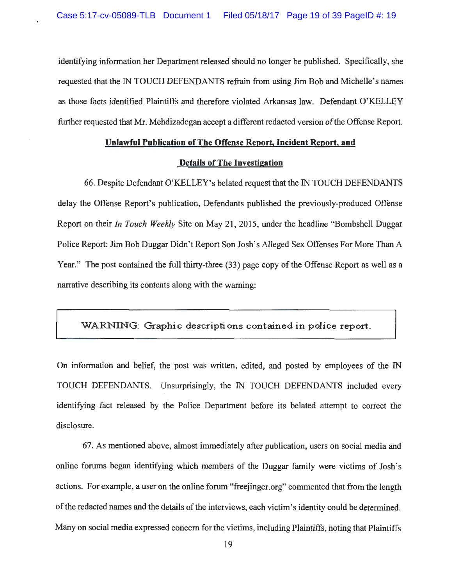identifying information her Department released should no longer be published. Specifically, she requested that the IN TOUCH DEFENDANTS refrain from using Jim Bob and Michelle's names as those facts identified Plaintiffs and therefore violated Arkansas law. Defendant O'KELLEY further requested that Mr. Mehdizadegan accept a different redacted version of the Offense Report.

# **Unlawful Publication of The Offense Report, Incident Report, and**

#### **Details of The Investigation**

66. Despite Defendant O'KELLEY's belated request that the IN TOUCH DEFENDANTS delay the Offense Report's publication, Defendants published the previously-produced Offense Report on their *In Touch Weekly* Site on May 21, 2015, under the headline "Bombshell Duggar Police Report: Jim Bob Duggar Didn't Report Son Josh's Alleged Sex Offenses For More Than A Year." The post contained the full thirty-three (33) page copy of the Offense Report as well as a narrative describing its contents along with the warning:

## WARNING: Graphic descriptions contained in police report.

On information and belief, the post was written, edited, and posted by employees of the IN TOUCH DEFENDANTS. Unsurprisingly, the IN TOUCH DEFENDANTS included every identifying fact released by the Police Department before its belated attempt to correct the disclosure.

67. As mentioned above, almost immediately after publication, users on social media and online forums began identifying which members of the Duggar family were victims of Josh's actions. For example, a user on the online forum "freejinger.org" commented that from the length of the redacted names and the details of the interviews, each victim's identity could be determined. Many on social media expressed concern for the victims, including Plaintiffs, noting that Plaintiffs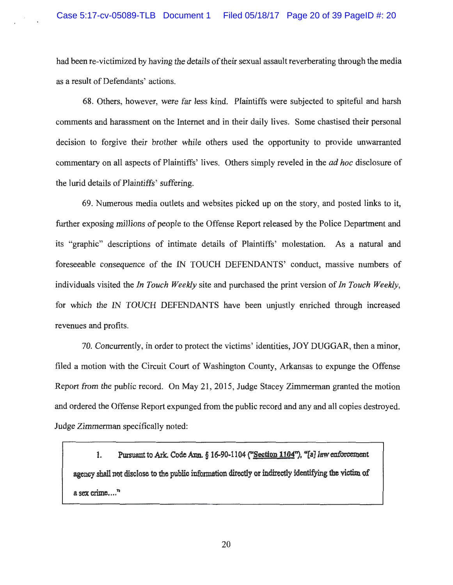had been re-victimized by having the details of their sexual assault reverberating through the media as a result of Defendants' actions.

68. Others, however, were far less kind. Plaintiffs were subjected to spiteful and harsh comments and harassment on the Internet and in their daily lives. Some chastised their personal decision to forgive their brother while others used the opportunity to provide unwarranted commentary on all aspects of Plaintiffs' lives. Others simply reveled in the *ad hoc* disclosure of the lurid details of Plaintiffs' suffering.

69. Numerous media outlets and websites picked up on the story, and posted links to it, further exposing millions of people to the Offense Report released by the Police Department and its "graphic" descriptions of intimate details of Plaintiffs' molestation. As a natural and foreseeable consequence of the IN TOUCH DEFENDANTS' conduct, massive numbers of individuals visited the *In Touch Weekly* site and purchased the print version of *In Touch Weekly,*  for which the IN TOUCH DEFENDANTS have been unjustly enriched through increased revenues and profits.

70. Concurrently, in order to protect the victims' identities, JOY DUGGAR, then a minor, filed a motion with the Circuit Court of Washington County, Arkansas to expunge the Offense Report from the public record. On May 21, 2015, Judge Stacey Zimmerman granted the motion and ordered the Offense Report expunged from the public record and any and all copies destroyed. Judge Zimmerman specifically noted:

1. Pursuant to Ark. Code Arm.  $\S 16-90-1104$  ("Section 1104"), "[a] law enforcement agency shall not disclose to the public information directly or indirectly identifying the victim of a sex crime...."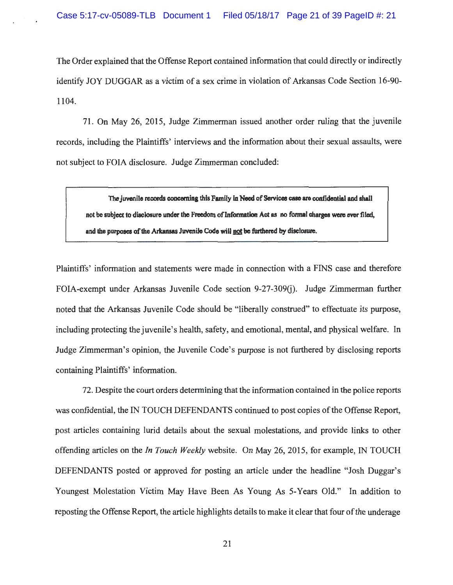The Order explained that the Offense Report contained information that could directly or indirectly identify JOY DUGGAR as a victim of a sex crime in violation of Arkansas Code Section 16-90- 1104.

71. On May 26, 2015, Judge Zimmerman issued another order ruling that the juvenile records, including the Plaintiffs' interviews and the information about their sexual assaults, were not subject to FOIA disclosure. Judge Zimmerman concluded:

**The juvenile records cooceming this Family** in **Need of Services caso are confidential and shall not be subject to disclosure under the Freedom oflnformatlon Act as no formal charges were ever tiled,**  and the purposes of the Arkansas Juvenile Code will not be furthered by disclosure.

Plaintiffs' information and statements were made in connection with a FINS case and therefore FOIA-exempt under Arkansas Juvenile Code section 9-27-309(j). Judge Zimmerman further noted that the Arkansas Juvenile Code should be "liberally construed" to effectuate its purpose, including protecting the juvenile's health, safety, and emotional, mental, and physical welfare. In Judge Zimmerman's opinion, the Juvenile Code's purpose is not furthered by disclosing reports containing Plaintiffs' information.

72. Despite the court orders determining that the information contained in the police reports was confidential, the IN TOUCH DEFENDANTS continued to post copies of the Offense Report, post articles containing lurid details about the sexual molestations, and provide links to other offending articles on the *In Touch Weekly* website. On May 26, 2015, for example, IN TOUCH DEFENDANTS posted or approved for posting an article under the headline "Josh Duggar's Youngest Molestation Victim May Have Been As Young As 5-Years Old." In addition to reposting the Offense Report, the article highlights details to make it clear that four of the underage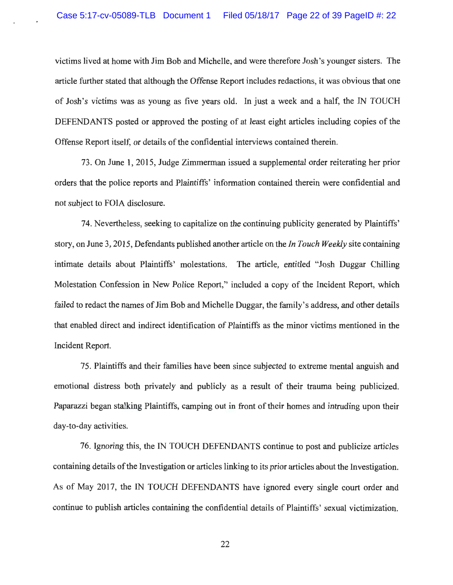victims lived at home with Jim Bob and Michelle, and were therefore Josh's younger sisters. The article further stated that although the Offense Report includes redactions, it was obvious that one of Josh's victims was as young as five years old. In just a week and a half, the IN TOUCH DEFENDANTS posted or approved the posting of at least eight articles including copies of the Offense Report itself, or details of the confidential interviews contained therein.

73. On June 1, 2015, Judge Zimmerman issued a supplemental order reiterating her prior orders that the police reports and Plaintiffs' information contained therein were confidential and not subject to FOIA disclosure.

74. Nevertheless, seeking to capitalize on the continuing publicity generated by Plaintiffs' story, on June 3, 2015, Defendants published another article on the *In Touch Weekly* site containing intimate details about Plaintiffs' molestations. The article, entitled "Josh Duggar Chilling Molestation Confession in New Police Report," included a copy of the Incident Report, which failed to redact the names of Jim Bob and Michelle Duggar, the family's address, and other details that enabled direct and indirect identification of Plaintiffs as the minor victims mentioned in the Incident Report.

75. Plaintiffs and their families have been since subjected to extreme mental anguish and emotional distress both privately and publicly as a result of their trauma being publicized. Paparazzi began stalking Plaintiffs, camping out in front of their homes and intruding upon their day-to-day activities.

76. Ignoring this, the IN TOUCH DEFENDANTS continue to post and publicize articles containing details of the Investigation or articles linking to its prior articles about the Investigation. As of May 2017, the IN TOUCH DEFENDANTS have ignored every single court order and continue to publish articles containing the confidential details of Plaintiffs' sexual victimization.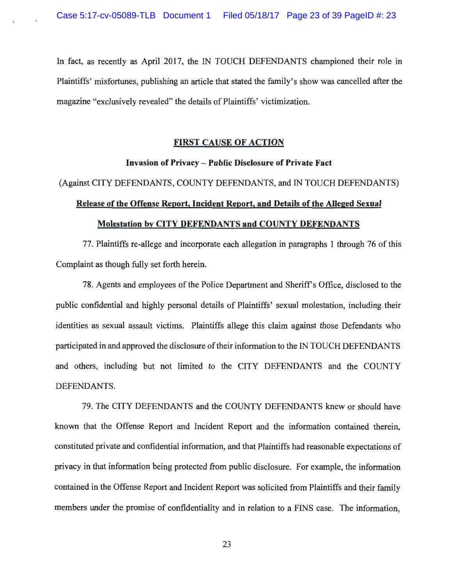In fact, as recently as April 2017, the IN TOUCH DEFENDANTS championed their role in Plaintiffs' misfortunes, publishing an article that stated the family's show was cancelled after the magazine "exclusively revealed" the details of Plaintiffs' victimization.

#### **FIRST CAUSE OF ACTION**

#### **Invasion of Privacy** - **Public Disclosure of Private Fact**

# (Against CITY DEFENDANTS, COUNTY DEFENDANTS, and IN TOUCH DEFENDANTS)

#### **Release of the Offense Report, Incident Report, and Details of the Alleged Sexual**

#### **Molestation by CITY DEFENDANTS and COUNTY DEFENDANTS**

77. Plaintiffs re-allege and incorporate each allegation in paragraphs 1 through 76 of this Complaint as though fully set forth herein.

78. Agents and employees of the Police Department and Sheriff's Office, disclosed to the public confidential and highly personal details of Plaintiffs' sexual molestation, including their identities as sexual assault victims. Plaintiffs allege this claim against those Defendants who participated in and approved the disclosure of their information to the IN TOUCH DEFENDANTS and others, including but not limited to the CITY DEFENDANTS and the COUNTY DEFENDANTS.

79. The CITY DEFENDANTS and the COUNTY DEFENDANTS knew or should have known that the Offense Report and Incident Report and the information contained therein, constituted private and confidential information, and that Plaintiffs had reasonable expectations of privacy in that information being protected from public disclosure. For example, the information contained in the Offense Report and Incident Report was solicited from Plaintiffs and their family members under the promise of confidentiality and in relation to a FINS case. The information,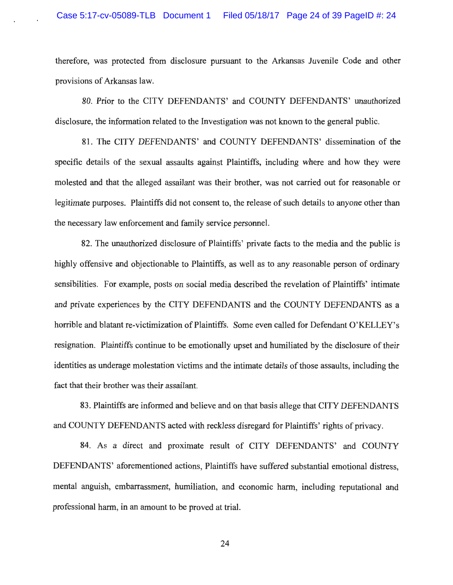therefore, was protected from disclosure pursuant to the Arkansas Juvenile Code and other provisions of Arkansas law.

80. Prior to the CITY DEFENDANTS' and COUNTY DEFENDANTS' unauthorized disclosure, the information related to the Investigation was not known to the general public.

81. The CITY DEFENDANTS' and COUNTY DEFENDANTS' dissemination of the specific details of the sexual assaults against Plaintiffs, including where and how they were molested and that the alleged assailant was their brother, was not carried out for reasonable or legitimate purposes. Plaintiffs did not consent to, the release of such details to anyone other than the necessary law enforcement and family service personnel.

82. The unauthorized disclosure of Plaintiffs' private facts to the media and the public is highly offensive and objectionable to Plaintiffs, as well as to any reasonable person of ordinary sensibilities. For example, posts on social media described the revelation of Plaintiffs' intimate and private experiences by the CITY DEFENDANTS and the COUNTY DEFENDANTS as a horrible and blatant re-victimization of Plaintiffs. Some even called for Defendant O'KELLEY's resignation. Plaintiffs continue to be emotionally upset and humiliated by the disclosure of their identities as underage molestation victims and the intimate details of those assaults, including the fact that their brother was their assailant.

83. Plaintiffs are informed and believe and on that basis allege that CITY DEFENDANTS and COUNTY DEFENDANTS acted with reckless disregard for Plaintiffs' rights of privacy.

84. As a direct and proximate result of CITY DEFENDANTS' and COUNTY DEFENDANTS' aforementioned actions, Plaintiffs have suffered substantial emotional distress, mental anguish, embarrassment, humiliation, and economic harm, including reputational and professional harm, in an amount to be proved at trial.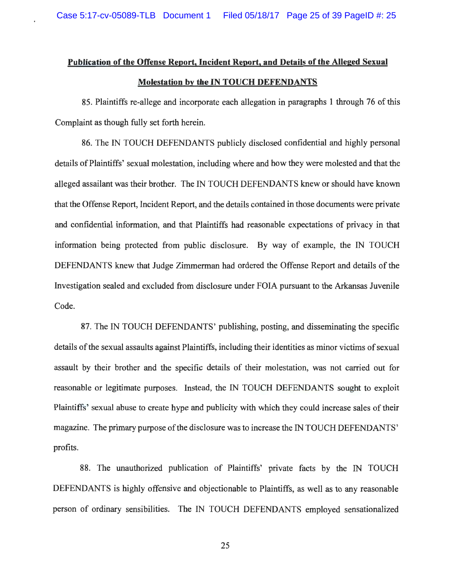# **Publication of the Offense Report, Incident Report, and Details of the Alleged Sexual Molestation by the IN TOUCH DEFENDANTS**

85. Plaintiffs re-allege and incorporate each allegation in paragraphs 1 through 76 of this Complaint as though fully set forth herein.

86. The IN TOUCH DEFENDANTS publicly disclosed confidential and highly personal details of Plaintiffs' sexual molestation, including where and how they were molested and that the alleged assailant was their brother. The IN TOUCH DEFENDANTS knew or should have known that the Offense Report, Incident Report, and the details contained in those documents were private and confidential information, and that Plaintiffs had reasonable expectations of privacy in that information being protected from public disclosure. By way of example, the IN TOUCH DEFENDANTS knew that Judge Zimmerman had ordered the Offense Report and details of the Investigation sealed and excluded from disclosure under FOIA pursuant to the Arkansas Juvenile Code.

87. The IN TOUCH DEFENDANTS' publishing, posting, and disseminating the specific details of the sexual assaults against Plaintiffs, including their identities as minor victims of sexual assault by their brother and the specific details of their molestation, was not carried out for reasonable or legitimate purposes. Instead, the IN TOUCH DEFENDANTS sought to exploit Plaintiffs' sexual abuse to create hype and publicity with which they could increase sales of their magazine. The primary purpose of the disclosure was to increase the IN TOUCH DEFENDANTS' profits.

88. The unauthorized publication of Plaintiffs' private facts by the IN TOUCH DEFENDANTS is highly offensive and objectionable to Plaintiffs, as well as to any reasonable person of ordinary sensibilities. The IN TOUCH DEFENDANTS employed sensationalized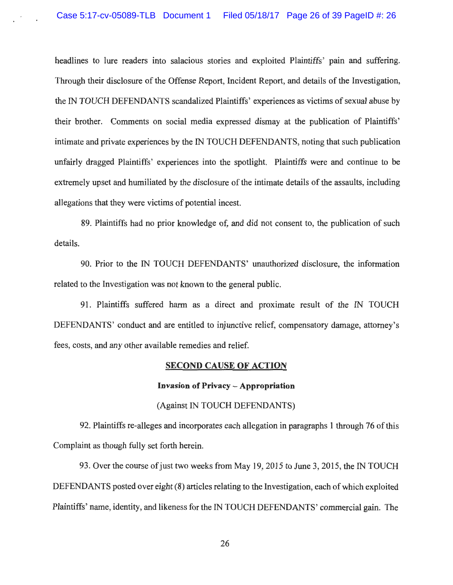headlines to lure readers into salacious stories and exploited Plaintiffs' pain and suffering. Through their disclosure of the Offense Report, Incident Report, and details of the Investigation, the IN TOUCH DEFENDANTS scandalized Plaintiffs' experiences as victims of sexual abuse by their brother. Comments on social media expressed dismay at the publication of Plaintiffs' intimate and private experiences by the IN TOUCH DEFENDANTS, noting that such publication unfairly dragged Plaintiffs' experiences into the spotlight. Plaintiffs were and continue to be extremely upset and humiliated by the disclosure of the intimate details of the assaults, including allegations that they were victims of potential incest.

89. Plaintiffs had no prior knowledge of, and did not consent to, the publication of such details.

90. Prior to the IN TOUCH DEFENDANTS' unauthorized disclosure, the information related to the Investigation was not known to the general public.

91. Plaintiffs suffered harm as a direct and proximate result of the IN TOUCH DEFENDANTS' conduct and are entitled to injunctive relief, compensatory damage, attorney's fees, costs, and any other available remedies and relief.

#### **SECOND CAUSE OF ACTION**

#### **Invasion of Privacy** - **Appropriation**

### (Against IN TOUCH DEFENDANTS)

92. Plaintiffs re-alleges and incorporates each allegation in paragraphs 1 through 76 of this Complaint as though fully set forth herein.

93. Over the course of just two weeks from May 19, 2015 to June 3, 2015, the IN TOUCH DEFENDANTS posted over eight (8) articles relating to the Investigation, each of which exploited Plaintiffs' name, identity, and likeness for the IN TOUCH DEFENDANTS' commercial gain. The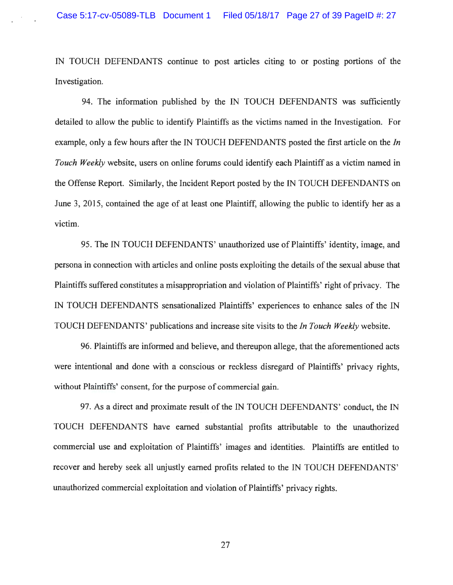IN TOUCH DEFENDANTS continue to post articles citing to or posting portions of the Investigation.

94. The information published by the IN TOUCH DEFENDANTS was sufficiently detailed to allow the public to identify Plaintiffs as the victims named in the Investigation. For example, only a few hours after the IN TOUCH DEFENDANTS posted the first article on the *In Touch Weekly* website, users on online forums could identify each Plaintiff as a victim named in the Offense Report. Similarly, the Incident Report posted by the IN TOUCH DEFENDANTS on June 3, 2015, contained the age of at least one Plaintiff, allowing the public to identify her as a victim.

95. The IN TOUCH DEFENDANTS' unauthorized use of Plaintiffs' identity, image, and persona in connection with articles and online posts exploiting the details of the sexual abuse that Plaintiffs suffered constitutes a misappropriation and violation of Plaintiffs' right of privacy. The IN TOUCH DEFENDANTS sensationalized Plaintiffs' experiences to enhance sales of the IN TOUCH DEFENDANTS' publications and increase site visits to the *In Touch Weekly* website.

96. Plaintiffs are informed and believe, and thereupon allege, that the aforementioned acts were intentional and done with a conscious or reckless disregard of Plaintiffs' privacy rights, without Plaintiffs' consent, for the purpose of commercial gain.

97. As a direct and proximate result of the IN TOUCH DEFENDANTS' conduct, the IN TOUCH DEFENDANTS have earned substantial profits attributable to the unauthorized commercial use and exploitation of Plaintiffs' images and identities. Plaintiffs are entitled to recover and hereby seek all unjustly earned profits related to the IN TOUCH DEFENDANTS' unauthorized commercial exploitation and violation of Plaintiffs' privacy rights.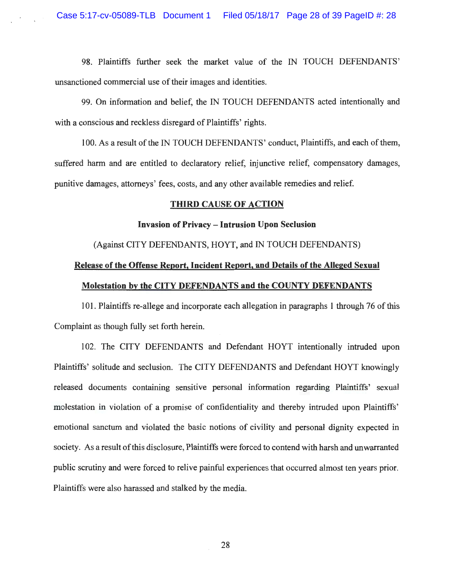98. Plaintiffs further seek the market value of the IN TOUCH DEFENDANTS' unsanctioned commercial use of their images and identities.

99. On information and belief, the IN TOUCH DEFENDANTS acted intentionally and with a conscious and reckless disregard of Plaintiffs' rights.

100. As a result of the IN TOUCH DEFENDANTS' conduct, Plaintiffs, and each of them, suffered harm and are entitled to declaratory relief, injunctive relief, compensatory damages, punitive damages, attorneys' fees, costs, and any other available remedies and relief.

#### **THIRD CAUSE OF ACTION**

#### **Invasion of Privacy - Intrusion Upon Seclusion**

(Against CITY DEFENDANTS, HOYT, and IN TOUCH DEFENDANTS)

# **Release of the Offense Report, Incident Report, and Details of the Alleged Sexual**

# **Molestation by the CITY DEFENDANTS and the COUNTY DEFENDANTS**

101. Plaintiffs re-allege and incorporate each allegation in paragraphs 1 through 76 of this Complaint as though fully set forth herein.

102. The CITY DEFENDANTS and Defendant HOYT intentionally intruded upon Plaintiffs' solitude and seclusion. The CITY DEFENDANTS and Defendant HOYT knowingly released documents containing sensitive personal information regarding Plaintiffs' sexual molestation in violation of a promise of confidentiality and thereby intruded upon Plaintiffs' emotional sanctum and violated the basic notions of civility and personal dignity expected in society. As a result of this disclosure, Plaintiffs were forced to contend with harsh and unwarranted public scrutiny and were forced to relive painful experiences that occurred almost ten years prior. Plaintiffs were also harassed and stalked by the media.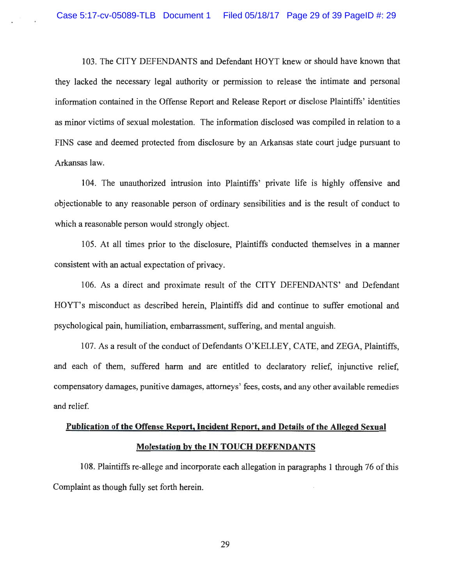103. The CITY DEFENDANTS and Defendant HOYT knew or should have known that they lacked the necessary legal authority or permission to release the intimate and personal information contained in the Offense Report and Release Report or disclose Plaintiffs' identities as minor victims of sexual molestation. The information disclosed was compiled in relation to a FINS case and deemed protected from disclosure by an Arkansas state court judge pursuant to Arkansas law.

104. The unauthorized intrusion into Plaintiffs' private life is highly offensive and objectionable to any reasonable person of ordinary sensibilities and is the result of conduct to which a reasonable person would strongly object.

105. At all times prior to the disclosure, Plaintiffs conducted themselves in a manner consistent with an actual expectation of privacy.

106. As a direct and proximate result of the CITY DEFENDANTS' and Defendant HOYT's misconduct as described herein, Plaintiffs did and continue to suffer emotional and psychological pain, humiliation, embarrassment, suffering, and mental anguish.

107. As a result of the conduct of Defendants O'KELLEY, CATE, and ZEGA, Plaintiffs, and each of them, suffered harm and are entitled to declaratory relief, injunctive relief, compensatory damages, punitive damages, attorneys' fees, costs, and any other available remedies and relief.

# **Publication of the Offense Report, Incident Report, and Details of the Alleged Sexual Molestation by the IN TOUCH DEFENDANTS**

108. Plaintiffs re-allege and incorporate each allegation in paragraphs 1 through 76 of this Complaint as though fully set forth herein.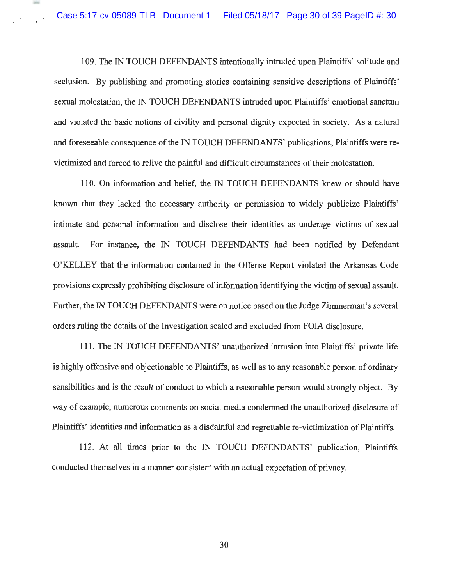109. The IN TOUCH DEFENDANTS intentionally intruded upon Plaintiffs' solitude and seclusion. By publishing and promoting stories containing sensitive descriptions of Plaintiffs' sexual molestation, the IN TOUCH DEFENDANTS intruded upon Plaintiffs' emotional sanctum and violated the basic notions of civility and personal dignity expected in society. As a natural and foreseeable consequence of the IN TOUCH DEFENDANTS' publications, Plaintiffs were revictimized and forced to relive the painful and difficult circumstances of their molestation.

110. On information and belief, the IN TOUCH DEFENDANTS knew or should have known that they lacked the necessary authority or permission to widely publicize Plaintiffs' intimate and personal information and disclose their identities as underage victims of sexual assault. For instance, the IN TOUCH DEFENDANTS had been notified by Defendant O'KELLEY that the information contained in the Offense Report violated the Arkansas Code provisions expressly prohibiting disclosure of information identifying the victim of sexual assault. Further, the IN TOUCH DEFENDANTS were on notice based on the Judge Zimmerman's several orders ruling the details of the Investigation sealed and excluded from FOIA disclosure.

111. The IN TOUCH DEFENDANTS' unauthorized intrusion into Plaintiffs' private life is highly offensive and objectionable to Plaintiffs, as well as to any reasonable person of ordinary sensibilities and is the result of conduct to which a reasonable person would strongly object. By way of example, numerous comments on social media condemned the unauthorized disclosure of Plaintiffs' identities and information as a disdainful and regrettable re-victimization of Plaintiffs.

112. At all times prior to the IN TOUCH DEFENDANTS' publication, Plaintiffs conducted themselves in a manner consistent with an actual expectation of privacy.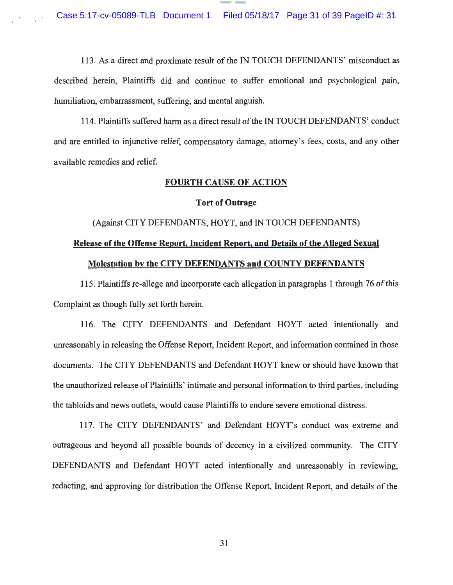Case 5:17-cv-05089-TLB Document 1 Filed 05/18/17 Page 31 of 39 PageID #: 31

113. As a direct and proximate result of the IN TOUCH DEFENDANTS' misconduct as described herein, Plaintiffs did and continue to suffer emotional and psychological pain, humiliation, embarrassment, suffering, and mental anguish.

114. Plaintiffs suffered harm as a direct result of the IN TOUCH DEFENDANTS' conduct and are entitled to injunctive relief, compensatory damage, attorney's fees, costs, and any other available remedies and relief.

### **FOURTH CAUSE OF ACTION**

#### **Tort of Outrage**

# (Against CITY DEFENDANTS, HOYT, and IN TOUCH DEFENDANTS) **Release of the Offense Report, Incident Report, and Details of the Alleged Sexual Molestation by the CITY DEFENDANTS and COUNTY DEFENDANTS**

115. Plaintiffs re-allege and incorporate each allegation in paragraphs 1 through 76 of this Complaint as though fully set forth herein.

116. The CITY DEFENDANTS and Defendant HOYT acted intentionally and unreasonably in releasing the Offense Report, Incident Report, and information contained in those documents. The CITY DEFENDANTS and Defendant HOYT knew or should have known that the unauthorized release of Plaintiffs' intimate and personal information to third parties, including the tabloids and news outlets, would cause Plaintiffs to endure severe emotional distress.

117. The CITY DEFENDANTS' and Defendant HOYT's conduct was extreme and outrageous and beyond all possible bounds of decency in a civilized community. The CITY DEFENDANTS and Defendant HOYT acted intentionally and unreasonably in reviewing, redacting, and approving for distribution the Offense Report, Incident Report, and details of the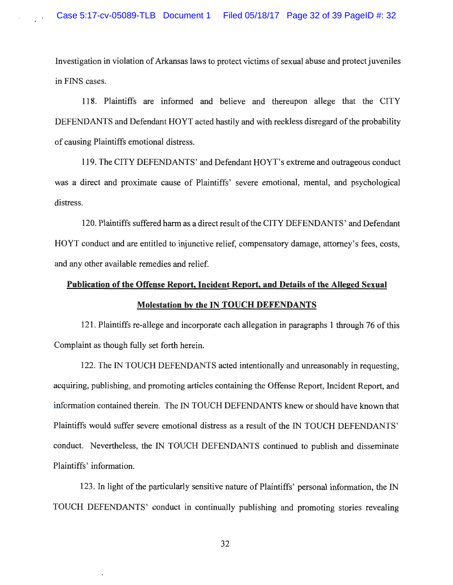Investigation in violation of Arkansas laws to protect victims of sexual abuse and protect juveniles in FINS cases.

118. Plaintiffs are informed and believe and thereupon allege that the CITY DEFENDANTS and Defendant HOYT acted hastily and with reckless disregard of the probability of causing Plaintiffs emotional distress.

119. The CITY DEFENDANTS' and Defendant HOYT's extreme and outrageous conduct was a direct and proximate cause of Plaintiffs' severe emotional, mental, and psychological distress.

120. Plaintiffs suffered harm as a direct result of the CITY DEFENDANTS' and Defendant HOYT conduct and are entitled to injunctive relief, compensatory damage, attorney's fees, costs, and any other available remedies and relief.

# **Publication of the Offense Report, Incident Report, and Details of the Alleged Sexual Molestation by the IN TOUCH DEFENDANTS**

121 . Plaintiffs re-allege and incorporate each allegation in paragraphs 1 through 76 of this Complaint as though fully set forth herein.

122. The IN TOUCH DEFENDANTS acted intentionally and unreasonably in requesting, acquiring, publishing, and promoting articles containing the Offense Report, Incident Report, and information contained therein. The IN TOUCH DEFENDANTS knew or should have known that Plaintiffs would suffer severe emotional distress as a result of the IN TOUCH DEFENDANTS' conduct. Nevertheless, the IN TOUCH DEFENDANTS continued to publish and disseminate Plaintiffs' information.

123. In light of the particularly sensitive nature of Plaintiffs' personal information, the IN TOUCH DEFENDANTS' conduct in continually publishing and promoting stories revealing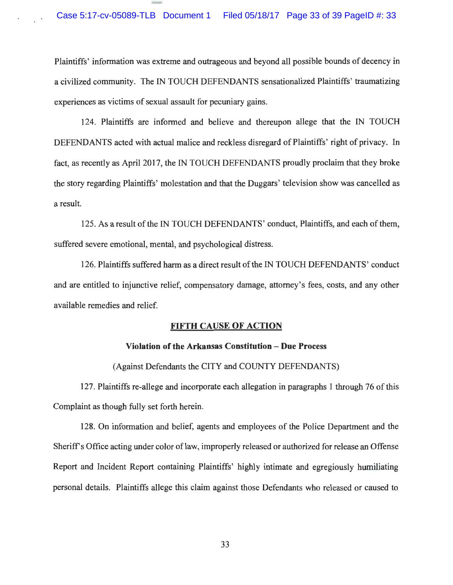Plaintiffs' information was extreme and outrageous and beyond all possible bounds of decency in a civilized community. The IN TOUCH DEFENDANTS sensationalized Plaintiffs' traumatizing experiences as victims of sexual assault for pecuniary gains.

124. Plaintiffs are informed and believe and thereupon allege that the IN TOUCH DEFENDANTS acted with actual malice and reckless disregard of Plaintiffs' right of privacy. In fact, as recently as April 2017, the IN TOUCH DEFENDANTS proudly proclaim that they broke the story regarding Plaintiffs' molestation and that the Duggars' television show was cancelled as a result.

125. As a result of the IN TOUCH DEFENDANTS' conduct, Plaintiffs, and each of them, suffered severe emotional, mental, and psychological distress.

126. Plaintiffs suffered harm as a direct result of the IN TOUCH DEFENDANTS' conduct and are entitled to injunctive relief, compensatory damage, attorney's fees, costs, and any other available remedies and relief.

#### **FIFTH CAUSE OF ACTION**

#### **Violation of the Arkansas Constitution - Due Process**

(Against Defendants the CITY and COUNTY DEFENDANTS)

127. Plaintiffs re-allege and incorporate each allegation in paragraphs 1 through 76 of this Complaint as though fully set forth herein.

128. On information and belief, agents and employees of the Police Department and the Sheriff's Office acting under color of law, improperly released or authorized for release an Offense Report and Incident Report containing Plaintiffs' highly intimate and egregiously humiliating personal details. Plaintiffs allege this claim against those Defendants who released or caused to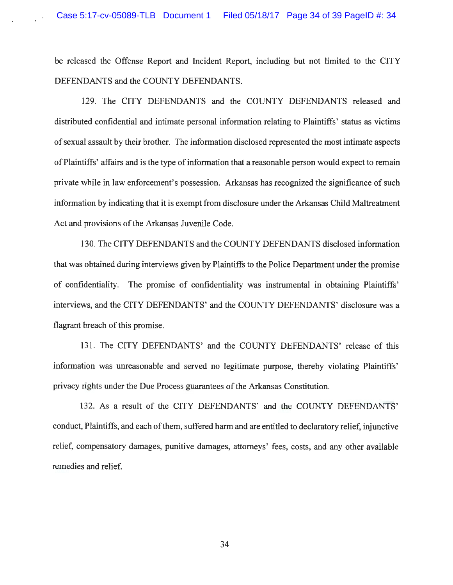be released the Offense Report and Incident Report, including but not limited to the CITY DEFENDANTS and the COUNTY DEFENDANTS.

129. The CITY DEFENDANTS and the COUNTY DEFENDANTS released and distributed confidential and intimate personal information relating to Plaintiffs' status as victims of sexual assault by their brother. The information disclosed represented the most intimate aspects of Plaintiffs' affairs and is the type of information that a reasonable person would expect to remain private while in law enforcement's possession. Arkansas has recognized the significance of such information by indicating that it is exempt from disclosure under the Arkansas Child Maltreatment Act and provisions of the Arkansas Juvenile Code.

130. The CITY DEFENDANTS and the COUNTY DEFENDANTS disclosed information that was obtained during interviews given by Plaintiffs to the Police Department under the promise of confidentiality. The promise of confidentiality was instrumental in obtaining Plaintiffs' interviews, and the CITY DEFENDANTS' and the COUNTY DEFENDANTS' disclosure was a flagrant breach of this promise.

131. The CITY DEFENDANTS' and the COUNTY DEFENDANTS' release of this information was unreasonable and served no legitimate purpose, thereby violating Plaintiffs' privacy rights under the Due Process guarantees of the Arkansas Constitution.

132. As a result of the CITY DEFENDANTS' and the COUNTY DEFENDANTS' conduct, Plaintiffs, and each of them, suffered harm and are entitled to declaratory relief, injunctive relief, compensatory damages, punitive damages, attorneys' fees, costs, and any other available remedies and relief.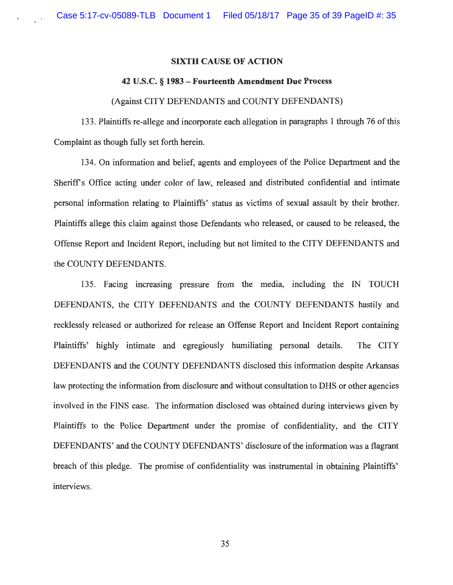#### **SIXTH CAUSE OF ACTION**

#### **42 U.S.C.** § **1983** - **Fourteenth Amendment Due Process**

#### (Against CITY DEFENDANTS and COUNTY DEFENDANTS)

133. Plaintiffs re-allege and incorporate each allegation in paragraphs 1 through 76 of this Complaint as though fully set forth herein.

134. On information and belief, agents and employees of the Police Department and the Sheriffs Office acting under color of law, released and distributed confidential and intimate personal information relating to Plaintiffs' status as victims of sexual assault by their brother. Plaintiffs allege this claim against those Defendants who released, or caused to be released, the Offense Report and Incident Report, including but not limited to the CITY DEFENDANTS and the COUNTY DEFENDANTS.

135. Facing increasing pressure from the media, including the IN TOUCH DEFENDANTS, the CITY DEFENDANTS and the COUNTY DEFENDANTS hastily and recklessly released or authorized for release an Offense Report and Incident Report containing Plaintiffs' highly intimate and egregiously humiliating personal details. The CITY DEFENDANTS and the COUNTY DEFENDANTS disclosed this information despite Arkansas law protecting the information from disclosure and without consultation to DHS or other agencies involved in the FINS case. The information disclosed was obtained during interviews given by Plaintiffs to the Police Department under the promise of confidentiality, and the CITY DEFENDANTS' and the COUNTY DEFENDANTS' disclosure of the information was a flagrant breach of this pledge. The promise of confidentiality was instrumental in obtaining Plaintiffs' interviews.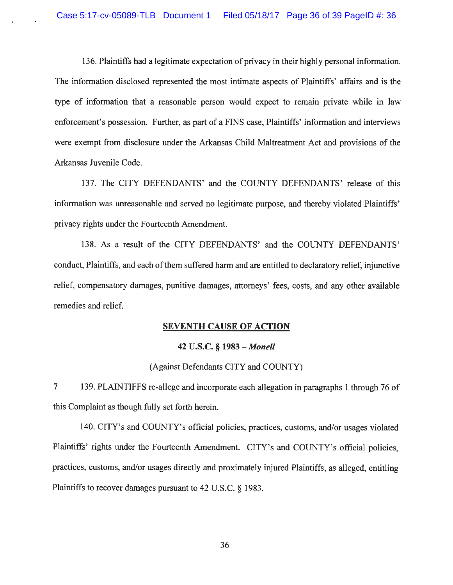136. Plaintiffs had a legitimate expectation of privacy in their highly personal information. The information disclosed represented the most intimate aspects of Plaintiffs' affairs and is the type of information that a reasonable person would expect to remain private while in law enforcement's possession. Further, as part of a FINS case, Plaintiffs' information and interviews were exempt from disclosure under the Arkansas Child Maltreatment Act and provisions of the Arkansas Juvenile Code.

137. The CITY DEFENDANTS' and the COUNTY DEFENDANTS' release of this information was unreasonable and served no legitimate purpose, and thereby violated Plaintiffs' privacy rights under the Fourteenth Amendment.

138. As a result of the CITY DEFENDANTS' and the COUNTY DEFENDANTS' conduct, Plaintiffs, and each of them suffered harm and are entitled to declaratory relief, injunctive relief, compensatory damages, punitive damages, attorneys' fees, costs, and any other available remedies and relief.

#### **SEVENTH CAUSE OF ACTION**

#### **42 U.S.C. § 1983** *-Monell*

### (Against Defendants CITY and COUNTY)

7 139. PLAINTIFFS re-allege and incorporate each allegation in paragraphs 1 through 76 of this Complaint as though fully set forth herein.

140. CITY's and COUNTY's official policies, practices, customs, and/or usages violated Plaintiffs' rights under the Fourteenth Amendment. CITY's and COUNTY's official policies, practices, customs, and/or usages directly and proximately injured Plaintiffs, as alleged, entitling Plaintiffs to recover damages pursuant to 42 U.S.C. § 1983.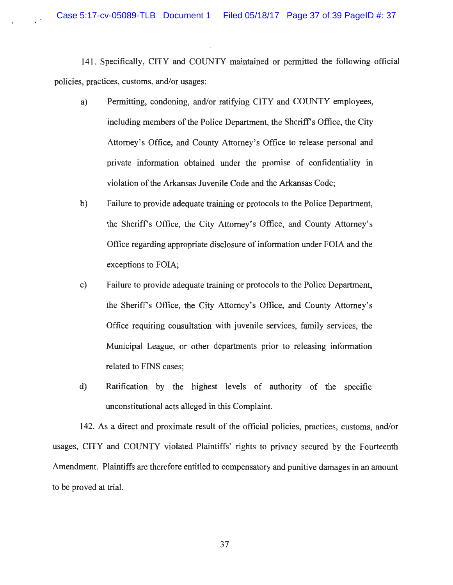Case 5:17-cv-05089-TLB Document 1 Filed 05/18/17 Page 37 of 39 PageID #: 37

141. Specifically, CITY and COUNTY maintained or permitted the following official policies, practices, customs, and/or usages:

- a) Permitting, condoning, and/or ratifying CITY and COUNTY employees, including members of the Police Department, the Sheriff's Office, the City Attorney's Office, and County Attorney's Office to release personal and private information obtained under the promise of confidentiality in violation of the Arkansas Juvenile Code and the Arkansas Code;
- b) Failure to provide adequate training or protocols to the Police Department, the Sheriffs Office, the City Attorney's Office, and County Attorney's Office regarding appropriate disclosure of information under FOIA and the exceptions to FOIA;
- c) Failure to provide adequate training or protocols to the Police Department, the Sheriffs Office, the City Attorney's Office, and County Attorney's Office requiring consultation with juvenile services, family services, the Municipal League, or other departments prior to releasing information related to FINS cases;
- d) Ratification by the highest levels of authority of the specific unconstitutional acts alleged in this Complaint.

142. As a direct and proximate result of the official policies, practices, customs, and/or usages, CITY and COUNTY violated Plaintiffs' rights to privacy secured by the Fourteenth Amendment. Plaintiffs are therefore entitled to compensatory and punitive damages in an amount to be proved at trial.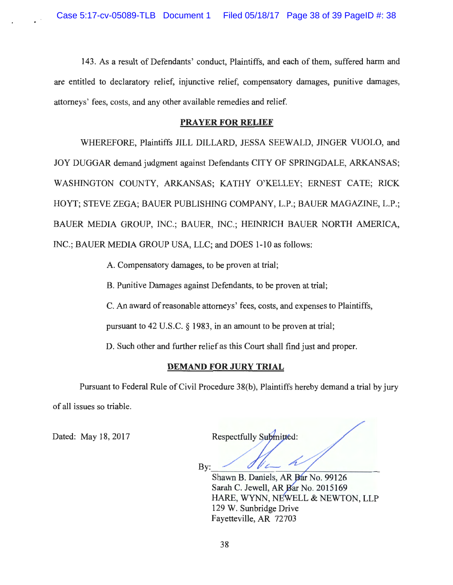143. As a result of Defendants' conduct, Plaintiffs, and each of them, suffered harm and are entitled to declaratory relief, injunctive relief, compensatory damages, punitive damages, attorneys' fees, costs, and any other available remedies and relief.

#### **PRAYER FOR RELIEF**

WHEREFORE, Plaintiffs JILL DILLARD, JESSA SEEWALD, JINGER VUOLO, and JOY DUGGAR demand judgment against Defendants CITY OF SPRINGDALE, ARKANSAS; WASHINGTON COUNTY, ARKANSAS; KATHY O'KELLEY; ERNEST CATE; RICK HOYT; STEVE ZEGA; BAUER PUBLISHING COMPANY, L.P.; BAUER MAGAZINE, L.P.; BAUER MEDIA GROUP, INC.; BAUER, INC.; HEINRICH BAUER NORTH AMERICA, INC.; BAUER MEDIA GROUP USA, LLC; and DOES 1-10 as follows:

A. Compensatory damages, to be proven at trial;

B. Punitive Damages against Defendants, to be proven at trial;

C. An award of reasonable attorneys' fees, costs, and expenses to Plaintiffs,

pursuant to 42 U.S.C. § 1983, in an amount to be proven at trial;

D. Such other and further relief as this Court shall find just and proper.

## **DEMAND FOR JURY TRIAL**

Pursuant to Federal Rule of Civil Procedure 38(b), Plaintiffs hereby demand a trial by jury of all issues so triable.

Dated: May 18, 2017 **Respectfully Submitted:** 

**By:** Shawn B. Daniels, AR Bar No. 99126 Sarah C. Jewell, AR Bar No. 2015169 HARE, WYNN, NEWELL & NEWTON, LLP 129 W. Sunbridge Drive Fayetteville, AR 72703